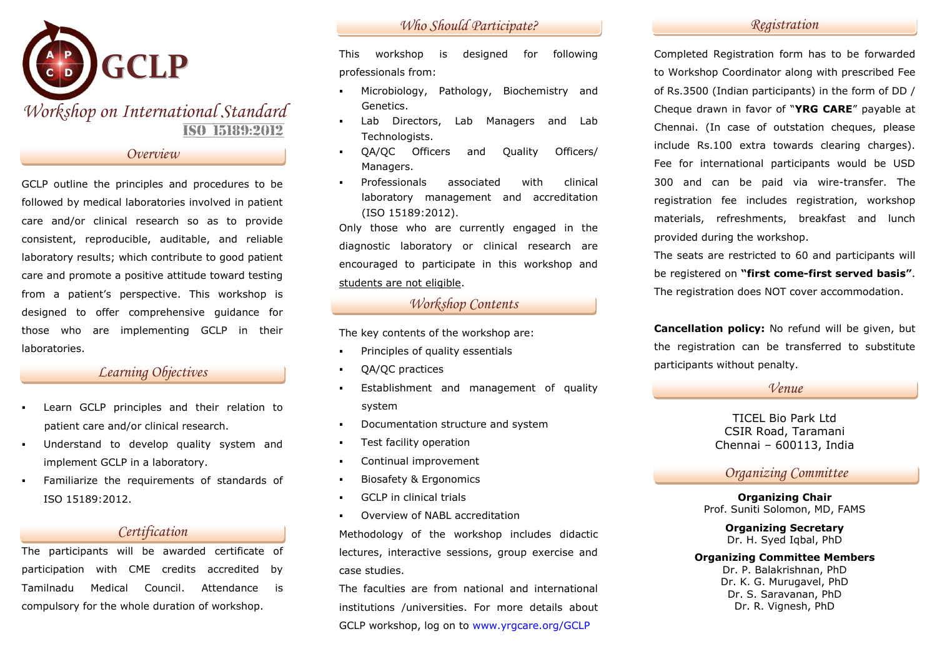

*Overview*

GCLP outline the principles and procedures to be followed by medical laboratories involved in patient care and/or clinical research so as to provide consistent, reproducible, auditable, and reliable laboratory results; which contribute to good patient care and promote a positive attitude toward testing from a patient's perspective. This workshop is designed to offer comprehensive guidance for those who are implementing GCLP in their laboratories.

# *Learning Objectives*

- Learn GCLP principles and their relation to patient care and/or clinical research.
- Understand to develop quality system and implement GCLP in a laboratory.
- Familiarize the requirements of standards of ISO 15189:2012.

# *Certification*

The participants will be awarded certificate of participation with CME credits accredited by Tamilnadu Medical Council. Attendance is compulsory for the whole duration of workshop.

# *Who Should Participate? Registration*

This workshop is designed for following professionals from:

- Microbiology, Pathology, Biochemistry and Genetics.
- Lab Directors, Lab Managers and Lab Technologists.
- QA/QC Officers and Quality Officers/ Managers.
- Professionals associated with clinical laboratory management and accreditation (ISO 15189:2012).

Only those who are currently engaged in the diagnostic laboratory or clinical research are encouraged to participate in this workshop and students are not eligible.

# *Workshop Contents*

The key contents of the workshop are:

- Principles of quality essentials
- QA/QC practices
- Establishment and management of quality system
- **•** Documentation structure and system
- Test facility operation
- Continual improvement
- Biosafety & Ergonomics
- GCLP in clinical trials
- Overview of NABL accreditation

Methodology of the workshop includes didactic lectures, interactive sessions, group exercise and case studies.

The faculties are from national and international institutions /universities. For more details about GCLP workshop, log on to [www.yrgcare.org/](http://www.yrgcare.org/)GCLP

Completed Registration form has to be forwarded to Workshop Coordinator along with prescribed Fee of Rs.3500 (Indian participants) in the form of DD / Cheque drawn in favor of "**YRG CARE**" payable at Chennai. (In case of outstation cheques, please include Rs.100 extra towards clearing charges). Fee for international participants would be USD 300 and can be paid via wire-transfer. The registration fee includes registration, workshop materials, refreshments, breakfast and lunch provided during the workshop.

The seats are restricted to 60 and participants will be registered on **"first come-first served basis"**. The registration does NOT cover accommodation.

**Cancellation policy:** No refund will be given, but the registration can be transferred to substitute participants without penalty.

# *Venue*

TICEL Bio Park Ltd CSIR Road, Taramani Chennai – 600113, India

# *Organizing Committee*

**Organizing Chair**  Prof. Suniti Solomon, MD, FAMS

> **Organizing Secretary** Dr. H. Syed Iqbal, PhD

#### **Organizing Committee Members**

Dr. P. Balakrishnan, PhD Dr. K. G. Murugavel, PhD Dr. S. Saravanan, PhD Dr. R. Vignesh, PhD